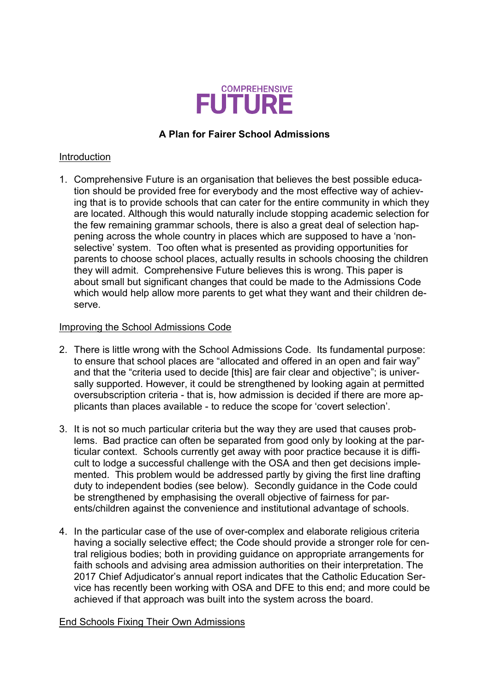

# **A Plan for Fairer School Admissions**

### Introduction

1. Comprehensive Future is an organisation that believes the best possible education should be provided free for everybody and the most effective way of achieving that is to provide schools that can cater for the entire community in which they are located. Although this would naturally include stopping academic selection for the few remaining grammar schools, there is also a great deal of selection happening across the whole country in places which are supposed to have a 'nonselective' system. Too often what is presented as providing opportunities for parents to choose school places, actually results in schools choosing the children they will admit. Comprehensive Future believes this is wrong. This paper is about small but significant changes that could be made to the Admissions Code which would help allow more parents to get what they want and their children deserve.

# Improving the School Admissions Code

- 2. There is little wrong with the School Admissions Code. Its fundamental purpose: to ensure that school places are "allocated and offered in an open and fair way" and that the "criteria used to decide [this] are fair clear and objective"; is universally supported. However, it could be strengthened by looking again at permitted oversubscription criteria - that is, how admission is decided if there are more applicants than places available - to reduce the scope for 'covert selection'.
- 3. It is not so much particular criteria but the way they are used that causes problems. Bad practice can often be separated from good only by looking at the particular context. Schools currently get away with poor practice because it is difficult to lodge a successful challenge with the OSA and then get decisions implemented. This problem would be addressed partly by giving the first line drafting duty to independent bodies (see below). Secondly guidance in the Code could be strengthened by emphasising the overall objective of fairness for parents/children against the convenience and institutional advantage of schools.
- 4. In the particular case of the use of over-complex and elaborate religious criteria having a socially selective effect; the Code should provide a stronger role for central religious bodies; both in providing guidance on appropriate arrangements for faith schools and advising area admission authorities on their interpretation. The 2017 Chief Adjudicator's annual report indicates that the Catholic Education Service has recently been working with OSA and DFE to this end; and more could be achieved if that approach was built into the system across the board.

#### End Schools Fixing Their Own Admissions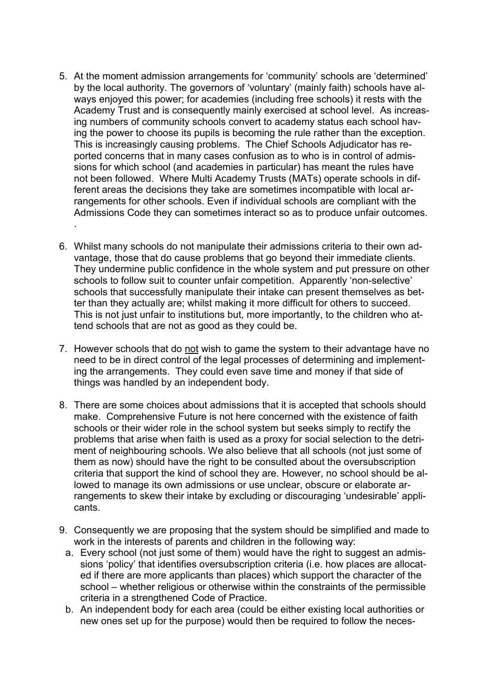- 5. At the moment admission arrangements for 'community' schools are 'determined' by the local authority. The governors of 'voluntary' (mainly faith) schools have always enjoyed this power; for academies (including free schools) it rests with the Academy Trust and is consequently mainly exercised at school level. As increasing numbers of community schools convert to academy status each school having the power to choose its pupils is becoming the rule rather than the exception. This is increasingly causing problems. The Chief Schools Adjudicator has reported concerns that in many cases confusion as to who is in control of admissions for which school (and academies in particular) has meant the rules have not been followed. Where Multi Academy Trusts (MATs) operate schools in different areas the decisions they take are sometimes incompatible with local arrangements for other schools. Even if individual schools are compliant with the Admissions Code they can sometimes interact so as to produce unfair outcomes. .
- 6. Whilst many schools do not manipulate their admissions criteria to their own advantage, those that do cause problems that go beyond their immediate clients. They undermine public confidence in the whole system and put pressure on other schools to follow suit to counter unfair competition. Apparently 'non-selective' schools that successfully manipulate their intake can present themselves as better than they actually are; whilst making it more difficult for others to succeed. This is not just unfair to institutions but, more importantly, to the children who attend schools that are not as good as they could be.
- 7. However schools that do not wish to game the system to their advantage have no need to be in direct control of the legal processes of determining and implementing the arrangements. They could even save time and money if that side of things was handled by an independent body.
- 8. There are some choices about admissions that it is accepted that schools should make. Comprehensive Future is not here concerned with the existence of faith schools or their wider role in the school system but seeks simply to rectify the problems that arise when faith is used as a proxy for social selection to the detriment of neighbouring schools. We also believe that all schools (not just some of them as now) should have the right to be consulted about the oversubscription criteria that support the kind of school they are. However, no school should be allowed to manage its own admissions or use unclear, obscure or elaborate arrangements to skew their intake by excluding or discouraging 'undesirable' applicants.
- 9. Consequently we are proposing that the system should be simplified and made to work in the interests of parents and children in the following way:
	- a. Every school (not just some of them) would have the right to suggest an admissions 'policy' that identifies oversubscription criteria (i.e. how places are allocated if there are more applicants than places) which support the character of the school – whether religious or otherwise within the constraints of the permissible criteria in a strengthened Code of Practice.
	- b. An independent body for each area (could be either existing local authorities or new ones set up for the purpose) would then be required to follow the neces-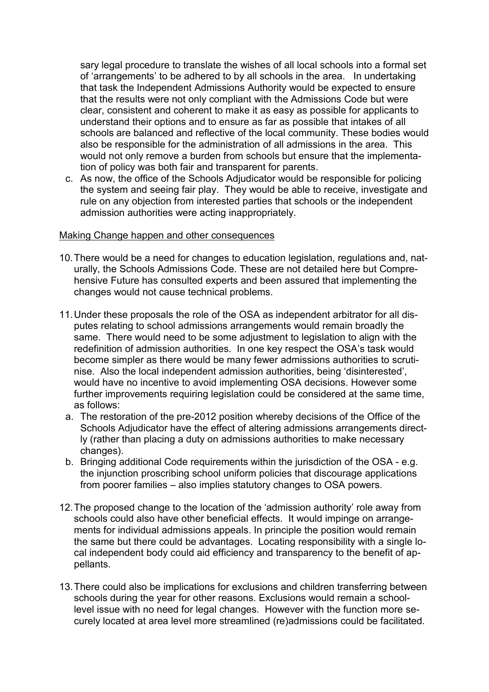sary legal procedure to translate the wishes of all local schools into a formal set of 'arrangements' to be adhered to by all schools in the area. In undertaking that task the Independent Admissions Authority would be expected to ensure that the results were not only compliant with the Admissions Code but were clear, consistent and coherent to make it as easy as possible for applicants to understand their options and to ensure as far as possible that intakes of all schools are balanced and reflective of the local community. These bodies would also be responsible for the administration of all admissions in the area. This would not only remove a burden from schools but ensure that the implementation of policy was both fair and transparent for parents.

c. As now, the office of the Schools Adjudicator would be responsible for policing the system and seeing fair play. They would be able to receive, investigate and rule on any objection from interested parties that schools or the independent admission authorities were acting inappropriately.

#### Making Change happen and other consequences

- 10.There would be a need for changes to education legislation, regulations and, naturally, the Schools Admissions Code. These are not detailed here but Comprehensive Future has consulted experts and been assured that implementing the changes would not cause technical problems.
- 11.Under these proposals the role of the OSA as independent arbitrator for all disputes relating to school admissions arrangements would remain broadly the same. There would need to be some adjustment to legislation to align with the redefinition of admission authorities. In one key respect the OSA's task would become simpler as there would be many fewer admissions authorities to scrutinise. Also the local independent admission authorities, being 'disinterested', would have no incentive to avoid implementing OSA decisions. However some further improvements requiring legislation could be considered at the same time, as follows:
	- a. The restoration of the pre-2012 position whereby decisions of the Office of the Schools Adjudicator have the effect of altering admissions arrangements directly (rather than placing a duty on admissions authorities to make necessary changes).
	- b. Bringing additional Code requirements within the jurisdiction of the OSA e.g. the injunction proscribing school uniform policies that discourage applications from poorer families – also implies statutory changes to OSA powers.
- 12.The proposed change to the location of the 'admission authority' role away from schools could also have other beneficial effects. It would impinge on arrangements for individual admissions appeals. In principle the position would remain the same but there could be advantages. Locating responsibility with a single local independent body could aid efficiency and transparency to the benefit of appellants.
- 13.There could also be implications for exclusions and children transferring between schools during the year for other reasons. Exclusions would remain a schoollevel issue with no need for legal changes. However with the function more securely located at area level more streamlined (re)admissions could be facilitated.